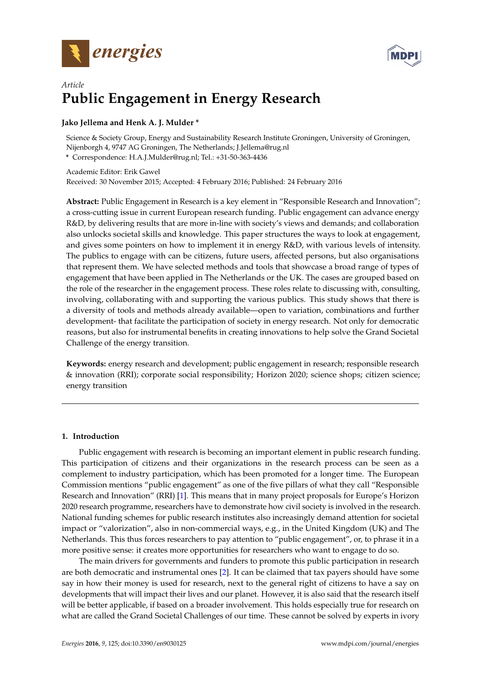



# *Article* **Public Engagement in Energy Research**

# **Jako Jellema and Henk A. J. Mulder \***

Science & Society Group, Energy and Sustainability Research Institute Groningen, University of Groningen, Nijenborgh 4, 9747 AG Groningen, The Netherlands; J.Jellema@rug.nl **\*** Correspondence: H.A.J.Mulder@rug.nl; Tel.: +31-50-363-4436

Academic Editor: Erik Gawel Received: 30 November 2015; Accepted: 4 February 2016; Published: 24 February 2016

**Abstract:** Public Engagement in Research is a key element in "Responsible Research and Innovation"; a cross-cutting issue in current European research funding. Public engagement can advance energy R&D, by delivering results that are more in-line with society's views and demands; and collaboration also unlocks societal skills and knowledge. This paper structures the ways to look at engagement, and gives some pointers on how to implement it in energy R&D, with various levels of intensity. The publics to engage with can be citizens, future users, affected persons, but also organisations that represent them. We have selected methods and tools that showcase a broad range of types of engagement that have been applied in The Netherlands or the UK. The cases are grouped based on the role of the researcher in the engagement process. These roles relate to discussing with, consulting, involving, collaborating with and supporting the various publics. This study shows that there is a diversity of tools and methods already available—open to variation, combinations and further development- that facilitate the participation of society in energy research. Not only for democratic reasons, but also for instrumental benefits in creating innovations to help solve the Grand Societal Challenge of the energy transition.

**Keywords:** energy research and development; public engagement in research; responsible research & innovation (RRI); corporate social responsibility; Horizon 2020; science shops; citizen science; energy transition

# **1. Introduction**

Public engagement with research is becoming an important element in public research funding. This participation of citizens and their organizations in the research process can be seen as a complement to industry participation, which has been promoted for a longer time. The European Commission mentions "public engagement" as one of the five pillars of what they call "Responsible Research and Innovation" (RRI) [\[1\]](#page-16-0). This means that in many project proposals for Europe's Horizon 2020 research programme, researchers have to demonstrate how civil society is involved in the research. National funding schemes for public research institutes also increasingly demand attention for societal impact or "valorization", also in non-commercial ways, e.g., in the United Kingdom (UK) and The Netherlands. This thus forces researchers to pay attention to "public engagement", or, to phrase it in a more positive sense: it creates more opportunities for researchers who want to engage to do so.

The main drivers for governments and funders to promote this public participation in research are both democratic and instrumental ones [\[2\]](#page-16-1). It can be claimed that tax payers should have some say in how their money is used for research, next to the general right of citizens to have a say on developments that will impact their lives and our planet. However, it is also said that the research itself will be better applicable, if based on a broader involvement. This holds especially true for research on what are called the Grand Societal Challenges of our time. These cannot be solved by experts in ivory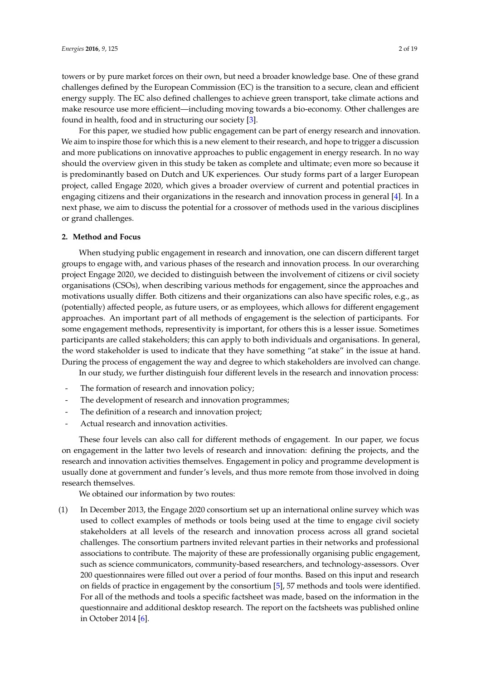towers or by pure market forces on their own, but need a broader knowledge base. One of these grand challenges defined by the European Commission (EC) is the transition to a secure, clean and efficient energy supply. The EC also defined challenges to achieve green transport, take climate actions and make resource use more efficient—including moving towards a bio-economy. Other challenges are found in health, food and in structuring our society [\[3\]](#page-16-2).

For this paper, we studied how public engagement can be part of energy research and innovation. We aim to inspire those for which this is a new element to their research, and hope to trigger a discussion and more publications on innovative approaches to public engagement in energy research. In no way should the overview given in this study be taken as complete and ultimate; even more so because it is predominantly based on Dutch and UK experiences. Our study forms part of a larger European project, called Engage 2020, which gives a broader overview of current and potential practices in engaging citizens and their organizations in the research and innovation process in general [\[4\]](#page-16-3). In a next phase, we aim to discuss the potential for a crossover of methods used in the various disciplines or grand challenges.

#### **2. Method and Focus**

When studying public engagement in research and innovation, one can discern different target groups to engage with, and various phases of the research and innovation process. In our overarching project Engage 2020, we decided to distinguish between the involvement of citizens or civil society organisations (CSOs), when describing various methods for engagement, since the approaches and motivations usually differ. Both citizens and their organizations can also have specific roles, e.g., as (potentially) affected people, as future users, or as employees, which allows for different engagement approaches. An important part of all methods of engagement is the selection of participants. For some engagement methods, representivity is important, for others this is a lesser issue. Sometimes participants are called stakeholders; this can apply to both individuals and organisations. In general, the word stakeholder is used to indicate that they have something "at stake" in the issue at hand. During the process of engagement the way and degree to which stakeholders are involved can change.

In our study, we further distinguish four different levels in the research and innovation process:

- The formation of research and innovation policy;
- The development of research and innovation programmes;
- The definition of a research and innovation project;
- Actual research and innovation activities.

These four levels can also call for different methods of engagement. In our paper, we focus on engagement in the latter two levels of research and innovation: defining the projects, and the research and innovation activities themselves. Engagement in policy and programme development is usually done at government and funder's levels, and thus more remote from those involved in doing research themselves.

We obtained our information by two routes:

(1) In December 2013, the Engage 2020 consortium set up an international online survey which was used to collect examples of methods or tools being used at the time to engage civil society stakeholders at all levels of the research and innovation process across all grand societal challenges. The consortium partners invited relevant parties in their networks and professional associations to contribute. The majority of these are professionally organising public engagement, such as science communicators, community-based researchers, and technology-assessors. Over 200 questionnaires were filled out over a period of four months. Based on this input and research on fields of practice in engagement by the consortium [\[5\]](#page-16-4), 57 methods and tools were identified. For all of the methods and tools a specific factsheet was made, based on the information in the questionnaire and additional desktop research. The report on the factsheets was published online in October 2014 [\[6\]](#page-16-5).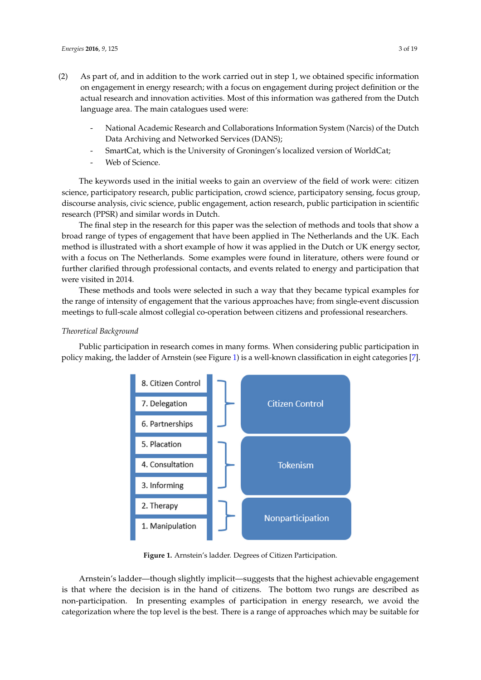- (2) As part of, and in addition to the work carried out in step 1, we obtained specific information on engagement in energy research; with a focus on engagement during project definition or the *Energies* **2016**, *9*, 125 3 of 19 actual research and innovation activities. Most of this information was gathered from the Dutch language area. The main catalogues used were:
	- National Academic Research and Collaborations Information System (Narcis) of the Dutch<br>- National Academic Research and Collaborations Information System (Narcis) of the Dutch Data Archiving and Networked Services (DANS);  $\mathcal{O}_{\text{max}}$  did not worked Services (DANS);
	- SmartCat, which is the University of Groningen's localized version of WorldCat; - SmartCat, which is the University of Groningen's localized version of WorldCat;
	- Web of Science. Web of Science.

The keywords used in the initial weeks to gain an overview of the field of work were: citizen The keywords used in the initial weeks to gain an overview of the field of work were: citizen science, participatory research, public participation, crowd science, participatory sensing, focus group, science, participatory research, public participation, crowd science, participatory sensing, focus discourse analysis, civic science, public engagement, action research, public participation in scientific research (PPSR) and similar words in Dutch.

The final step in the research for this paper was the selection of methods and tools that show a The final step in the research for this paper was the selection of methods and tools that show a broad range of types of engagement that have been applied in The Netherlands and the UK. Each broad range of types of engagement that have been applied in The Netherlands and the UK. Each method is illustrated with a short example of how it was applied in the Dutch or UK energy sector, method is illustrated with a short example of how it was applied in the Dutch or UK energy sector, with a focus on The Netherlands. Some examples were found in literature, others were found or further clarified through professional contacts, and events related to energy and participation that were visited in 2014. were visited in 2014.

These methods and tools were selected in such a way that they became typical examples for These methods and tools were selected in such a way that they became typical examples for the the range of intensity of engagement that the various approaches have; from single-event discussion meetings to full-scale almost collegial co-operation between citizens and professional researchers. meetings to full‐scale almost collegial co‐operation between citizens and professional researchers.

# *Theoretical Background Theoretical Background*

<span id="page-2-0"></span>Public participation in research comes in many forms. When considering public participation in Public participation in research comes in many forms. When considering public participation in policy making, the ladder of Arnstein (see Figure 1) is a well-known classification in eight categories [\[7\]](#page-16-6). policy making, the ladder of Arnstein (see Figure [1\)](#page-2-0) is a well‐known classification in eight categories [7].



**Figure 1.** Arnstein's ladder. Degrees of Citizen Participation. **Figure 1.** Arnstein's ladder. Degrees of Citizen Participation.

Arnstein's ladder—though slightly implicit—suggests that the highest achievable engagement is the decision is induced though sugnity implicit suggests that the highest achievable engagement is that where the decision is in the hand of citizens. The bottom two rungs are described as non-participation. In presenting examples of participation in energy research, we avoid the categorization where the top level is the best. There is a range of approaches which may be suitable for<br> Arnstein's ladder—though slightly implicit—suggests that the highest achievable engagement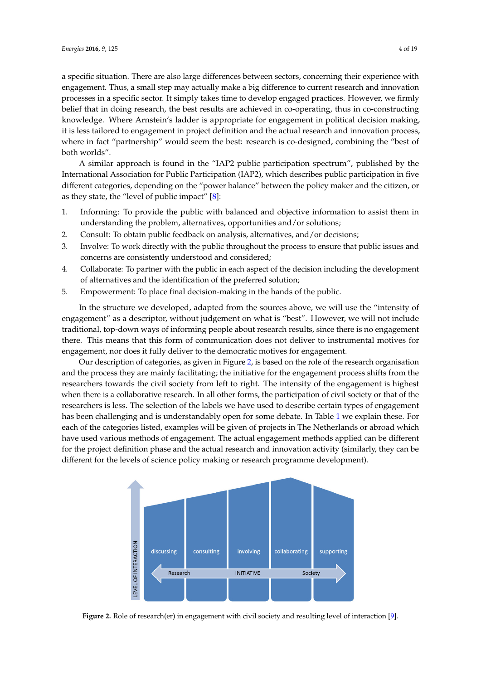a specific situation. There are also large differences between sectors, concerning their experience with engagement. Thus, a small step may actually make a big difference to current research and innovation processes in a specific sector. It simply takes time to develop engaged practices. However, we firmly belief that in doing research, the best results are achieved in co-operating, thus in co-constructing knowledge. Where Arnstein's ladder is appropriate for engagement in political decision making, it is less tailored to engagement in project definition and the actual research and innovation process, where in fact "partnership" would seem the best: research is co-designed, combining the "best of both worlds".

A similar approach is found in the "IAP2 public participation spectrum", published by the International Association for Public Participation (IAP2), which describes public participation in five different categories, depending on the "power balance" between the policy maker and the citizen, or *Energies* **2016**, *9*, 125 4 of 19 as they state, the "level of public impact"  $[8]$ :

- 1. Informing: To provide the public with balanced and objective information to assist them in understanding the problem, alternatives, opportunities and/or solutions; a similar and the public with balanced and objective information to assist
- 2. Consult: To obtain public feedback on analysis, alternatives, and/or decisions;
- 3. Involve: To work directly with the public throughout the process to ensure that public issues and concerns are consistently understood and considered;
- 4. Collaborate: To partner with the public in each aspect of the decision including the development of alternatives and the identification of the preferred solution; and: To purticize with the public fit calls aspect of the decision fitchcone
- 5. Empowerment: To place final decision-making in the hands of the public.

In the structure we developed, adapted from the sources above, we will use the "intensity of engagement" as a descriptor, without judgement on what is "best". However, we will not include traditional, top-down ways of informing people about research results, since there is no engagement there. This means that this form of communication does not deliver to instrumental motives for engagement, nor does it fully deliver to the democratic motives for engagement.

Our description of categories, as given in Figure [2,](#page-3-0) is based on the role of the research organisation and the process they are mainly facilitating; the initiative for the engagement process shifts from the researchers towards the civil society from left to right. The intensity of the engagement is highest when there is a collaborative research. In all other forms, the participation of civil society or that of the researchers is less. The selection of the labels we have used to describe certain types of engagement has been challenging and is understandably open for some debate. In Table [1](#page-4-0) we explain these. For each of the categories listed, examples will be given of projects in The Netherlands or abroad which have used various methods of engagement. The actual engagement methods applied can be different for the project definition phase and the actual research and innovation activity (similarly, they can be different for the levels of science policy making or research programme development). engagement of does grown in fully democratic motives for the fore of chanchging and is understandably open for some debate. In fabie 1 we explain the research programme development programmes that the vertex of behavior process.

<span id="page-3-0"></span>

Figure 2. Role of research(er) in engagement with civil society and resulting level of interaction [\[9\]](#page-16-8).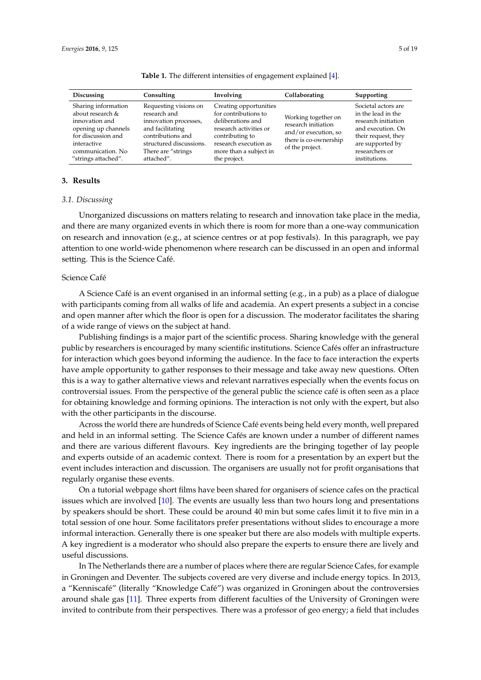|  |  | 501 |
|--|--|-----|
|  |  |     |

<span id="page-4-0"></span>

| Discussing                                                                                                                                                           | Consulting                                                                                                                                                              | Involving                                                                                                                                                                           | Collaborating                                                                                                  | Supporting                                                                                                                                                          |
|----------------------------------------------------------------------------------------------------------------------------------------------------------------------|-------------------------------------------------------------------------------------------------------------------------------------------------------------------------|-------------------------------------------------------------------------------------------------------------------------------------------------------------------------------------|----------------------------------------------------------------------------------------------------------------|---------------------------------------------------------------------------------------------------------------------------------------------------------------------|
| Sharing information<br>about research $\&$<br>innovation and<br>opening up channels<br>for discussion and<br>interactive<br>communication. No<br>"strings attached". | Requesting visions on<br>research and<br>innovation processes,<br>and facilitating<br>contributions and<br>structured discussions.<br>There are "strings"<br>attached". | Creating opportunities<br>for contributions to<br>deliberations and<br>research activities or<br>contributing to<br>research execution as<br>more than a subject in<br>the project. | Working together on<br>research initiation<br>and/or execution, so<br>there is co-ownership<br>of the project. | Societal actors are<br>in the lead in the<br>research initiation<br>and execution. On<br>their request, they<br>are supported by<br>researchers or<br>institutions. |

**Table 1.** The different intensities of engagement explained [\[4\]](#page-16-3).

#### **3. Results**

#### *3.1. Discussing*

Unorganized discussions on matters relating to research and innovation take place in the media, and there are many organized events in which there is room for more than a one-way communication on research and innovation (e.g., at science centres or at pop festivals). In this paragraph, we pay attention to one world-wide phenomenon where research can be discussed in an open and informal setting. This is the Science Café.

## Science Café

A Science Café is an event organised in an informal setting (e.g., in a pub) as a place of dialogue with participants coming from all walks of life and academia. An expert presents a subject in a concise and open manner after which the floor is open for a discussion. The moderator facilitates the sharing of a wide range of views on the subject at hand.

Publishing findings is a major part of the scientific process. Sharing knowledge with the general public by researchers is encouraged by many scientific institutions. Science Cafés offer an infrastructure for interaction which goes beyond informing the audience. In the face to face interaction the experts have ample opportunity to gather responses to their message and take away new questions. Often this is a way to gather alternative views and relevant narratives especially when the events focus on controversial issues. From the perspective of the general public the science café is often seen as a place for obtaining knowledge and forming opinions. The interaction is not only with the expert, but also with the other participants in the discourse.

Across the world there are hundreds of Science Café events being held every month, well prepared and held in an informal setting. The Science Cafés are known under a number of different names and there are various different flavours. Key ingredients are the bringing together of lay people and experts outside of an academic context. There is room for a presentation by an expert but the event includes interaction and discussion. The organisers are usually not for profit organisations that regularly organise these events.

On a tutorial webpage short films have been shared for organisers of science cafes on the practical issues which are involved [\[10\]](#page-16-9). The events are usually less than two hours long and presentations by speakers should be short. These could be around 40 min but some cafes limit it to five min in a total session of one hour. Some facilitators prefer presentations without slides to encourage a more informal interaction. Generally there is one speaker but there are also models with multiple experts. A key ingredient is a moderator who should also prepare the experts to ensure there are lively and useful discussions.

In The Netherlands there are a number of places where there are regular Science Cafes, for example in Groningen and Deventer. The subjects covered are very diverse and include energy topics. In 2013, a "Kenniscafé" (literally "Knowledge Café") was organized in Groningen about the controversies around shale gas [\[11\]](#page-16-10). Three experts from different faculties of the University of Groningen were invited to contribute from their perspectives. There was a professor of geo energy; a field that includes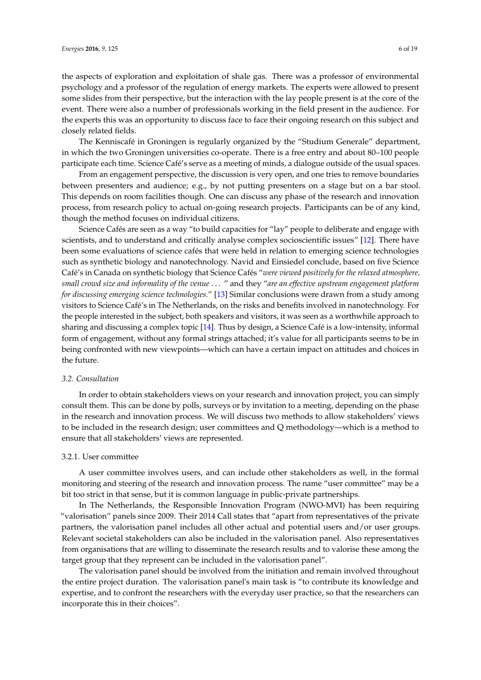the aspects of exploration and exploitation of shale gas. There was a professor of environmental psychology and a professor of the regulation of energy markets. The experts were allowed to present some slides from their perspective, but the interaction with the lay people present is at the core of the event. There were also a number of professionals working in the field present in the audience. For the experts this was an opportunity to discuss face to face their ongoing research on this subject and closely related fields.

The Kenniscafé in Groningen is regularly organized by the "Studium Generale" department, in which the two Groningen universities co-operate. There is a free entry and about 80–100 people participate each time. Science Café's serve as a meeting of minds, a dialogue outside of the usual spaces.

From an engagement perspective, the discussion is very open, and one tries to remove boundaries between presenters and audience; e.g., by not putting presenters on a stage but on a bar stool. This depends on room facilities though. One can discuss any phase of the research and innovation process, from research policy to actual on-going research projects. Participants can be of any kind, though the method focuses on individual citizens.

Science Cafés are seen as a way "to build capacities for "lay" people to deliberate and engage with scientists, and to understand and critically analyse complex socioscientific issues" [\[12\]](#page-16-11). There have been some evaluations of science cafés that were held in relation to emerging science technologies such as synthetic biology and nanotechnology. Navid and Einsiedel conclude, based on five Science Café's in Canada on synthetic biology that Science Cafés "*were viewed positively for the relaxed atmosphere, small crowd size and informality of the venue* . . . " and they "*are an effective upstream engagement platform for discussing emerging science technologies.*" [\[13\]](#page-16-12) Similar conclusions were drawn from a study among visitors to Science Café's in The Netherlands, on the risks and benefits involved in nanotechnology. For the people interested in the subject, both speakers and visitors, it was seen as a worthwhile approach to sharing and discussing a complex topic [\[14\]](#page-16-13). Thus by design, a Science Café is a low-intensity, informal form of engagement, without any formal strings attached; it's value for all participants seems to be in being confronted with new viewpoints—which can have a certain impact on attitudes and choices in the future.

#### *3.2. Consultation*

In order to obtain stakeholders views on your research and innovation project, you can simply consult them. This can be done by polls, surveys or by invitation to a meeting, depending on the phase in the research and innovation process. We will discuss two methods to allow stakeholders' views to be included in the research design; user committees and Q methodology—which is a method to ensure that all stakeholders' views are represented.

#### 3.2.1. User committee

A user committee involves users, and can include other stakeholders as well, in the formal monitoring and steering of the research and innovation process. The name "user committee" may be a bit too strict in that sense, but it is common language in public-private partnerships.

In The Netherlands, the Responsible Innovation Program (NWO-MVI) has been requiring "valorisation" panels since 2009. Their 2014 Call states that "apart from representatives of the private partners, the valorisation panel includes all other actual and potential users and/or user groups. Relevant societal stakeholders can also be included in the valorisation panel. Also representatives from organisations that are willing to disseminate the research results and to valorise these among the target group that they represent can be included in the valorisation panel".

The valorisation panel should be involved from the initiation and remain involved throughout the entire project duration. The valorisation panel's main task is "to contribute its knowledge and expertise, and to confront the researchers with the everyday user practice, so that the researchers can incorporate this in their choices".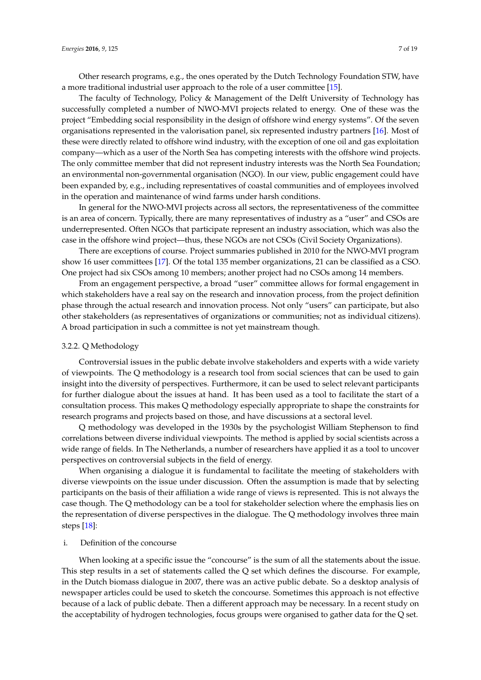Other research programs, e.g., the ones operated by the Dutch Technology Foundation STW, have a more traditional industrial user approach to the role of a user committee [\[15\]](#page-16-14).

The faculty of Technology, Policy & Management of the Delft University of Technology has successfully completed a number of NWO-MVI projects related to energy. One of these was the project "Embedding social responsibility in the design of offshore wind energy systems". Of the seven organisations represented in the valorisation panel, six represented industry partners [\[16\]](#page-17-0). Most of these were directly related to offshore wind industry, with the exception of one oil and gas exploitation company—which as a user of the North Sea has competing interests with the offshore wind projects. The only committee member that did not represent industry interests was the North Sea Foundation; an environmental non-governmental organisation (NGO). In our view, public engagement could have been expanded by, e.g., including representatives of coastal communities and of employees involved in the operation and maintenance of wind farms under harsh conditions.

In general for the NWO-MVI projects across all sectors, the representativeness of the committee is an area of concern. Typically, there are many representatives of industry as a "user" and CSOs are underrepresented. Often NGOs that participate represent an industry association, which was also the case in the offshore wind project—thus, these NGOs are not CSOs (Civil Society Organizations).

There are exceptions of course. Project summaries published in 2010 for the NWO-MVI program show 16 user committees [\[17\]](#page-17-1). Of the total 135 member organizations, 21 can be classified as a CSO. One project had six CSOs among 10 members; another project had no CSOs among 14 members.

From an engagement perspective, a broad "user" committee allows for formal engagement in which stakeholders have a real say on the research and innovation process, from the project definition phase through the actual research and innovation process. Not only "users" can participate, but also other stakeholders (as representatives of organizations or communities; not as individual citizens). A broad participation in such a committee is not yet mainstream though.

#### 3.2.2. Q Methodology

Controversial issues in the public debate involve stakeholders and experts with a wide variety of viewpoints. The Q methodology is a research tool from social sciences that can be used to gain insight into the diversity of perspectives. Furthermore, it can be used to select relevant participants for further dialogue about the issues at hand. It has been used as a tool to facilitate the start of a consultation process. This makes Q methodology especially appropriate to shape the constraints for research programs and projects based on those, and have discussions at a sectoral level.

Q methodology was developed in the 1930s by the psychologist William Stephenson to find correlations between diverse individual viewpoints. The method is applied by social scientists across a wide range of fields. In The Netherlands, a number of researchers have applied it as a tool to uncover perspectives on controversial subjects in the field of energy.

When organising a dialogue it is fundamental to facilitate the meeting of stakeholders with diverse viewpoints on the issue under discussion. Often the assumption is made that by selecting participants on the basis of their affiliation a wide range of views is represented. This is not always the case though. The Q methodology can be a tool for stakeholder selection where the emphasis lies on the representation of diverse perspectives in the dialogue. The Q methodology involves three main steps [\[18\]](#page-17-2):

#### i. Definition of the concourse

When looking at a specific issue the "concourse" is the sum of all the statements about the issue. This step results in a set of statements called the Q set which defines the discourse. For example, in the Dutch biomass dialogue in 2007, there was an active public debate. So a desktop analysis of newspaper articles could be used to sketch the concourse. Sometimes this approach is not effective because of a lack of public debate. Then a different approach may be necessary. In a recent study on the acceptability of hydrogen technologies, focus groups were organised to gather data for the Q set.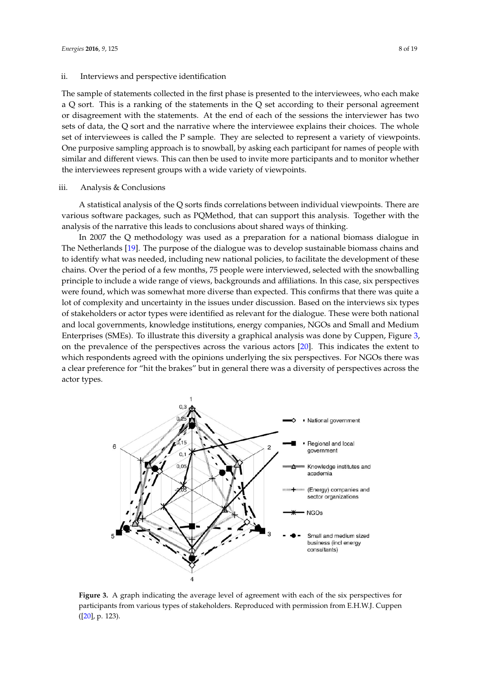#### ii. Interviews and perspective identification

The sample of statements collected in the first phase is presented to the interviewees, who each make a Q sort. This is a ranking of the statements in the Q set according to their personal agreement or disagreement with the statements. At the end of each of the sessions the interviewer has two sets of data, the Q sort and the narrative where the interviewee explains their choices. The whole set of interviewees is called the P sample. They are selected to represent a variety of viewpoints. One purposive sampling approach is to snowball, by asking each participant for names of people with similar and different views. This can then be used to invite more participants and to monitor whether the interviewees represent groups with a wide variety of viewpoints.

#### iii. Analysis & Conclusions

A statistical analysis of the Q sorts finds correlations between individual viewpoints. There are various software packages, such as PQMethod, that can support this analysis. Together with the analysis of the narrative this leads to conclusions about shared ways of thinking.

In 2007 the Q methodology was used as a preparation for a national biomass dialogue in The Netherlands [\[19\]](#page-17-3). The purpose of the dialogue was to develop sustainable biomass chains and to identify what was needed, including new national policies, to facilitate the development of these chains. Over the period of a few months, 75 people were interviewed, selected with the snowballing principle to include a wide range of views, backgrounds and affiliations. In this case, six perspectives were found, which was somewhat more diverse than expected. This confirms that there was quite a lot of complexity and uncertainty in the issues under discussion. Based on the interviews six types of stakeholders or actor types were identified as relevant for the dialogue. These were both national and local governments, knowledge institutions, energy companies, NGOs and Small and Medium Enterprises (SMEs). To illustrate this diversity a graphical analysis was done by Cuppen, Figure [3,](#page-7-0) on the prevalence of the perspectives across the various actors [\[20\]](#page-17-4). This indicates the extent to which respondents agreed with the opinions underlying the six perspectives. For NGOs there was a clear preference for "hit the brakes" but in general there was a diversity of perspectives across the actor types. *Energies* **2016**, *9*, 125 9 of 19

<span id="page-7-0"></span>

**Figure 3.** A graph indicating the average level of agreement with each of the six perspectives for participants from various types of stakeholders. Reproduced with permission from E.H.W.J. Cuppen ([\[20\]](#page-17-4), p. 123).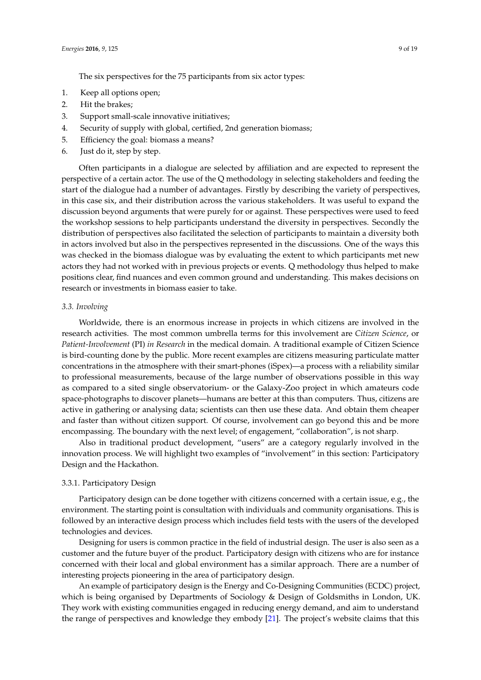The six perspectives for the 75 participants from six actor types:

- 1. Keep all options open;
- 2. Hit the brakes;
- 3. Support small-scale innovative initiatives;
- 4. Security of supply with global, certified, 2nd generation biomass;
- 5. Efficiency the goal: biomass a means?
- 6. Just do it, step by step.

Often participants in a dialogue are selected by affiliation and are expected to represent the perspective of a certain actor. The use of the Q methodology in selecting stakeholders and feeding the start of the dialogue had a number of advantages. Firstly by describing the variety of perspectives, in this case six, and their distribution across the various stakeholders. It was useful to expand the discussion beyond arguments that were purely for or against. These perspectives were used to feed the workshop sessions to help participants understand the diversity in perspectives. Secondly the distribution of perspectives also facilitated the selection of participants to maintain a diversity both in actors involved but also in the perspectives represented in the discussions. One of the ways this was checked in the biomass dialogue was by evaluating the extent to which participants met new actors they had not worked with in previous projects or events. Q methodology thus helped to make positions clear, find nuances and even common ground and understanding. This makes decisions on research or investments in biomass easier to take.

#### *3.3. Involving*

Worldwide, there is an enormous increase in projects in which citizens are involved in the research activities. The most common umbrella terms for this involvement are *Citizen Science*, or *Patient-Involvement* (PI) *in Research* in the medical domain. A traditional example of Citizen Science is bird-counting done by the public. More recent examples are citizens measuring particulate matter concentrations in the atmosphere with their smart-phones (iSpex)—a process with a reliability similar to professional measurements, because of the large number of observations possible in this way as compared to a sited single observatorium- or the Galaxy-Zoo project in which amateurs code space-photographs to discover planets—humans are better at this than computers. Thus, citizens are active in gathering or analysing data; scientists can then use these data. And obtain them cheaper and faster than without citizen support. Of course, involvement can go beyond this and be more encompassing. The boundary with the next level; of engagement, "collaboration", is not sharp.

Also in traditional product development, "users" are a category regularly involved in the innovation process. We will highlight two examples of "involvement" in this section: Participatory Design and the Hackathon.

#### 3.3.1. Participatory Design

Participatory design can be done together with citizens concerned with a certain issue, e.g., the environment. The starting point is consultation with individuals and community organisations. This is followed by an interactive design process which includes field tests with the users of the developed technologies and devices.

Designing for users is common practice in the field of industrial design. The user is also seen as a customer and the future buyer of the product. Participatory design with citizens who are for instance concerned with their local and global environment has a similar approach. There are a number of interesting projects pioneering in the area of participatory design.

An example of participatory design is the Energy and Co-Designing Communities (ECDC) project, which is being organised by Departments of Sociology & Design of Goldsmiths in London, UK. They work with existing communities engaged in reducing energy demand, and aim to understand the range of perspectives and knowledge they embody [\[21\]](#page-17-5). The project's website claims that this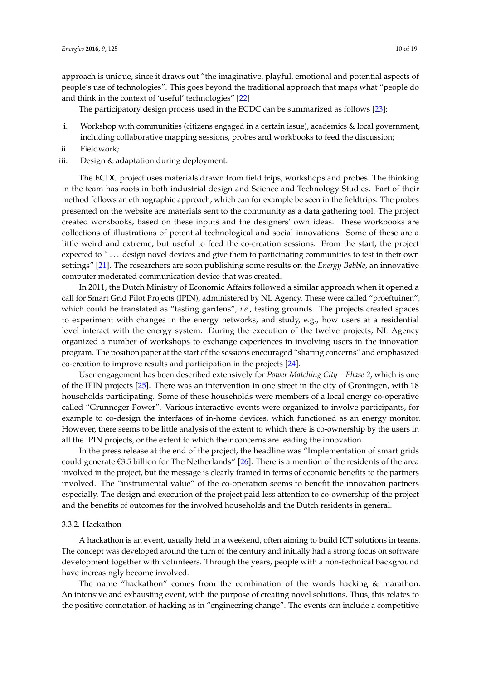approach is unique, since it draws out "the imaginative, playful, emotional and potential aspects of people's use of technologies". This goes beyond the traditional approach that maps what "people do and think in the context of 'useful' technologies" [\[22\]](#page-17-6)

The participatory design process used in the ECDC can be summarized as follows [\[23\]](#page-17-7):

- i. Workshop with communities (citizens engaged in a certain issue), academics & local government, including collaborative mapping sessions, probes and workbooks to feed the discussion;
- ii. Fieldwork;
- iii. Design & adaptation during deployment.

The ECDC project uses materials drawn from field trips, workshops and probes. The thinking in the team has roots in both industrial design and Science and Technology Studies. Part of their method follows an ethnographic approach, which can for example be seen in the fieldtrips. The probes presented on the website are materials sent to the community as a data gathering tool. The project created workbooks, based on these inputs and the designers' own ideas. These workbooks are collections of illustrations of potential technological and social innovations. Some of these are a little weird and extreme, but useful to feed the co-creation sessions. From the start, the project expected to "... design novel devices and give them to participating communities to test in their own settings" [\[21\]](#page-17-5). The researchers are soon publishing some results on the *Energy Babble*, an innovative computer moderated communication device that was created.

In 2011, the Dutch Ministry of Economic Affairs followed a similar approach when it opened a call for Smart Grid Pilot Projects (IPIN), administered by NL Agency. These were called "proeftuinen", which could be translated as "tasting gardens", *i.e.*, testing grounds. The projects created spaces to experiment with changes in the energy networks, and study, e.g., how users at a residential level interact with the energy system. During the execution of the twelve projects, NL Agency organized a number of workshops to exchange experiences in involving users in the innovation program. The position paper at the start of the sessions encouraged "sharing concerns" and emphasized co-creation to improve results and participation in the projects [\[24\]](#page-17-8).

User engagement has been described extensively for *Power Matching City—Phase 2*, which is one of the IPIN projects [\[25\]](#page-17-9). There was an intervention in one street in the city of Groningen, with 18 households participating. Some of these households were members of a local energy co-operative called "Grunneger Power". Various interactive events were organized to involve participants, for example to co-design the interfaces of in-home devices, which functioned as an energy monitor. However, there seems to be little analysis of the extent to which there is co-ownership by the users in all the IPIN projects, or the extent to which their concerns are leading the innovation.

In the press release at the end of the project, the headline was "Implementation of smart grids could generate €3.5 billion for The Netherlands" [\[26\]](#page-17-10). There is a mention of the residents of the area involved in the project, but the message is clearly framed in terms of economic benefits to the partners involved. The "instrumental value" of the co-operation seems to benefit the innovation partners especially. The design and execution of the project paid less attention to co-ownership of the project and the benefits of outcomes for the involved households and the Dutch residents in general.

#### 3.3.2. Hackathon

A hackathon is an event, usually held in a weekend, often aiming to build ICT solutions in teams. The concept was developed around the turn of the century and initially had a strong focus on software development together with volunteers. Through the years, people with a non-technical background have increasingly become involved.

The name "hackathon" comes from the combination of the words hacking & marathon. An intensive and exhausting event, with the purpose of creating novel solutions. Thus, this relates to the positive connotation of hacking as in "engineering change". The events can include a competitive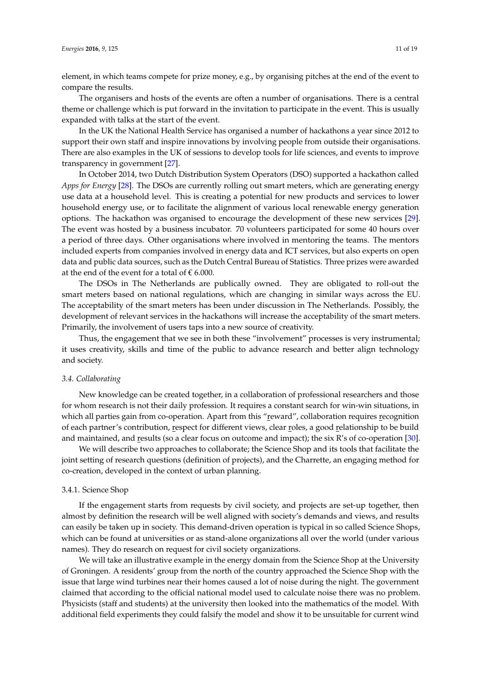element, in which teams compete for prize money, e.g., by organising pitches at the end of the event to compare the results.

The organisers and hosts of the events are often a number of organisations. There is a central theme or challenge which is put forward in the invitation to participate in the event. This is usually expanded with talks at the start of the event.

In the UK the National Health Service has organised a number of hackathons a year since 2012 to support their own staff and inspire innovations by involving people from outside their organisations. There are also examples in the UK of sessions to develop tools for life sciences, and events to improve transparency in government [\[27\]](#page-17-11).

In October 2014, two Dutch Distribution System Operators (DSO) supported a hackathon called *Apps for Energy* [\[28\]](#page-17-12). The DSOs are currently rolling out smart meters, which are generating energy use data at a household level. This is creating a potential for new products and services to lower household energy use, or to facilitate the alignment of various local renewable energy generation options. The hackathon was organised to encourage the development of these new services [\[29\]](#page-17-13). The event was hosted by a business incubator. 70 volunteers participated for some 40 hours over a period of three days. Other organisations where involved in mentoring the teams. The mentors included experts from companies involved in energy data and ICT services, but also experts on open data and public data sources, such as the Dutch Central Bureau of Statistics. Three prizes were awarded at the end of the event for a total of  $\epsilon$  6.000.

The DSOs in The Netherlands are publically owned. They are obligated to roll-out the smart meters based on national regulations, which are changing in similar ways across the EU. The acceptability of the smart meters has been under discussion in The Netherlands. Possibly, the development of relevant services in the hackathons will increase the acceptability of the smart meters. Primarily, the involvement of users taps into a new source of creativity.

Thus, the engagement that we see in both these "involvement" processes is very instrumental; it uses creativity, skills and time of the public to advance research and better align technology and society.

#### *3.4. Collaborating*

New knowledge can be created together, in a collaboration of professional researchers and those for whom research is not their daily profession. It requires a constant search for win-win situations, in which all parties gain from co-operation. Apart from this "reward", collaboration requires recognition of each partner's contribution, respect for different views, clear roles, a good relationship to be build and maintained, and results (so a clear focus on outcome and impact); the six R's of co-operation [\[30\]](#page-17-14).

We will describe two approaches to collaborate; the Science Shop and its tools that facilitate the joint setting of research questions (definition of projects), and the Charrette, an engaging method for co-creation, developed in the context of urban planning.

#### 3.4.1. Science Shop

If the engagement starts from requests by civil society, and projects are set-up together, then almost by definition the research will be well aligned with society's demands and views, and results can easily be taken up in society. This demand-driven operation is typical in so called Science Shops, which can be found at universities or as stand-alone organizations all over the world (under various names). They do research on request for civil society organizations.

We will take an illustrative example in the energy domain from the Science Shop at the University of Groningen. A residents' group from the north of the country approached the Science Shop with the issue that large wind turbines near their homes caused a lot of noise during the night. The government claimed that according to the official national model used to calculate noise there was no problem. Physicists (staff and students) at the university then looked into the mathematics of the model. With additional field experiments they could falsify the model and show it to be unsuitable for current wind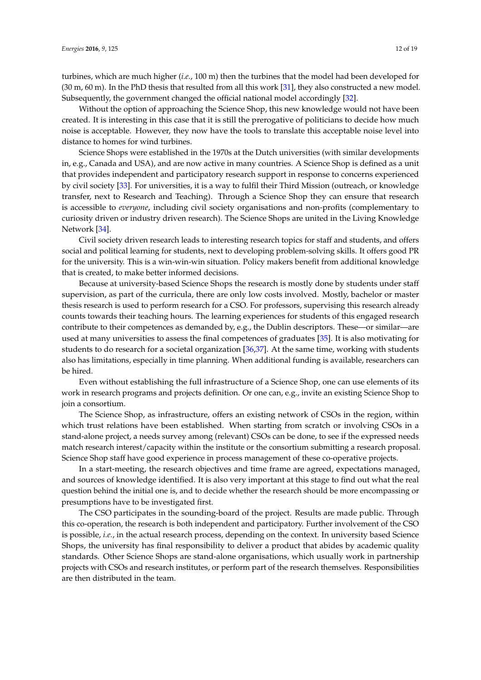turbines, which are much higher (*i.e.*, 100 m) then the turbines that the model had been developed for (30 m, 60 m). In the PhD thesis that resulted from all this work [\[31\]](#page-17-15), they also constructed a new model. Subsequently, the government changed the official national model accordingly [\[32\]](#page-17-16).

Without the option of approaching the Science Shop, this new knowledge would not have been created. It is interesting in this case that it is still the prerogative of politicians to decide how much noise is acceptable. However, they now have the tools to translate this acceptable noise level into distance to homes for wind turbines.

Science Shops were established in the 1970s at the Dutch universities (with similar developments in, e.g., Canada and USA), and are now active in many countries. A Science Shop is defined as a unit that provides independent and participatory research support in response to concerns experienced by civil society [\[33\]](#page-17-17). For universities, it is a way to fulfil their Third Mission (outreach, or knowledge transfer, next to Research and Teaching). Through a Science Shop they can ensure that research is accessible to *everyone*, including civil society organisations and non-profits (complementary to curiosity driven or industry driven research). The Science Shops are united in the Living Knowledge Network [\[34\]](#page-17-18).

Civil society driven research leads to interesting research topics for staff and students, and offers social and political learning for students, next to developing problem-solving skills. It offers good PR for the university. This is a win-win-win situation. Policy makers benefit from additional knowledge that is created, to make better informed decisions.

Because at university-based Science Shops the research is mostly done by students under staff supervision, as part of the curricula, there are only low costs involved. Mostly, bachelor or master thesis research is used to perform research for a CSO. For professors, supervising this research already counts towards their teaching hours. The learning experiences for students of this engaged research contribute to their competences as demanded by, e.g., the Dublin descriptors. These—or similar—are used at many universities to assess the final competences of graduates [\[35\]](#page-17-19). It is also motivating for students to do research for a societal organization [\[36,](#page-17-20)[37\]](#page-18-0). At the same time, working with students also has limitations, especially in time planning. When additional funding is available, researchers can be hired.

Even without establishing the full infrastructure of a Science Shop, one can use elements of its work in research programs and projects definition. Or one can, e.g., invite an existing Science Shop to join a consortium.

The Science Shop, as infrastructure, offers an existing network of CSOs in the region, within which trust relations have been established. When starting from scratch or involving CSOs in a stand-alone project, a needs survey among (relevant) CSOs can be done, to see if the expressed needs match research interest/capacity within the institute or the consortium submitting a research proposal. Science Shop staff have good experience in process management of these co-operative projects.

In a start-meeting, the research objectives and time frame are agreed, expectations managed, and sources of knowledge identified. It is also very important at this stage to find out what the real question behind the initial one is, and to decide whether the research should be more encompassing or presumptions have to be investigated first.

The CSO participates in the sounding-board of the project. Results are made public. Through this co-operation, the research is both independent and participatory. Further involvement of the CSO is possible, *i.e.*, in the actual research process, depending on the context. In university based Science Shops, the university has final responsibility to deliver a product that abides by academic quality standards. Other Science Shops are stand-alone organisations, which usually work in partnership projects with CSOs and research institutes, or perform part of the research themselves. Responsibilities are then distributed in the team.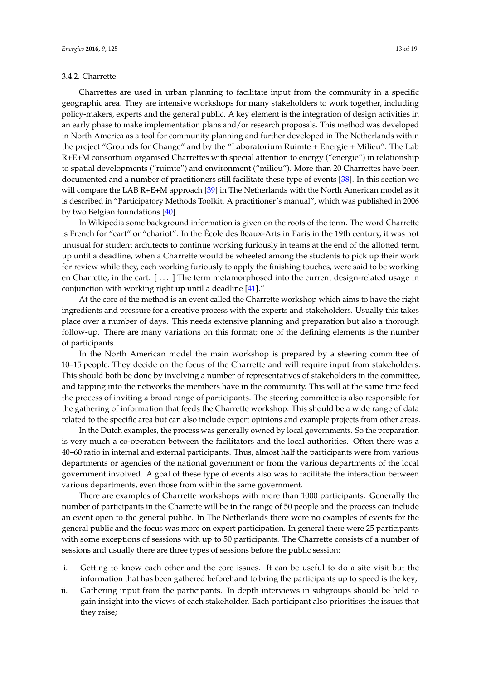#### 3.4.2. Charrette

Charrettes are used in urban planning to facilitate input from the community in a specific geographic area. They are intensive workshops for many stakeholders to work together, including policy-makers, experts and the general public. A key element is the integration of design activities in an early phase to make implementation plans and/or research proposals. This method was developed in North America as a tool for community planning and further developed in The Netherlands within the project "Grounds for Change" and by the "Laboratorium Ruimte + Energie + Milieu". The Lab R+E+M consortium organised Charrettes with special attention to energy ("energie") in relationship to spatial developments ("ruimte") and environment ("milieu"). More than 20 Charrettes have been documented and a number of practitioners still facilitate these type of events [\[38\]](#page-18-1). In this section we will compare the LAB R+E+M approach [\[39\]](#page-18-2) in The Netherlands with the North American model as it is described in "Participatory Methods Toolkit. A practitioner's manual", which was published in 2006 by two Belgian foundations [\[40\]](#page-18-3).

In Wikipedia some background information is given on the roots of the term. The word Charrette is French for "cart" or "chariot". In the École des Beaux-Arts in Paris in the 19th century, it was not unusual for student architects to continue working furiously in teams at the end of the allotted term, up until a deadline, when a Charrette would be wheeled among the students to pick up their work for review while they, each working furiously to apply the finishing touches, were said to be working en Charrette, in the cart. [ . . . ] The term metamorphosed into the current design-related usage in conjunction with working right up until a deadline [\[41\]](#page-18-4)."

At the core of the method is an event called the Charrette workshop which aims to have the right ingredients and pressure for a creative process with the experts and stakeholders. Usually this takes place over a number of days. This needs extensive planning and preparation but also a thorough follow-up. There are many variations on this format; one of the defining elements is the number of participants.

In the North American model the main workshop is prepared by a steering committee of 10–15 people. They decide on the focus of the Charrette and will require input from stakeholders. This should both be done by involving a number of representatives of stakeholders in the committee, and tapping into the networks the members have in the community. This will at the same time feed the process of inviting a broad range of participants. The steering committee is also responsible for the gathering of information that feeds the Charrette workshop. This should be a wide range of data related to the specific area but can also include expert opinions and example projects from other areas.

In the Dutch examples, the process was generally owned by local governments. So the preparation is very much a co-operation between the facilitators and the local authorities. Often there was a 40–60 ratio in internal and external participants. Thus, almost half the participants were from various departments or agencies of the national government or from the various departments of the local government involved. A goal of these type of events also was to facilitate the interaction between various departments, even those from within the same government.

There are examples of Charrette workshops with more than 1000 participants. Generally the number of participants in the Charrette will be in the range of 50 people and the process can include an event open to the general public. In The Netherlands there were no examples of events for the general public and the focus was more on expert participation. In general there were 25 participants with some exceptions of sessions with up to 50 participants. The Charrette consists of a number of sessions and usually there are three types of sessions before the public session:

- i. Getting to know each other and the core issues. It can be useful to do a site visit but the information that has been gathered beforehand to bring the participants up to speed is the key;
- ii. Gathering input from the participants. In depth interviews in subgroups should be held to gain insight into the views of each stakeholder. Each participant also prioritises the issues that they raise;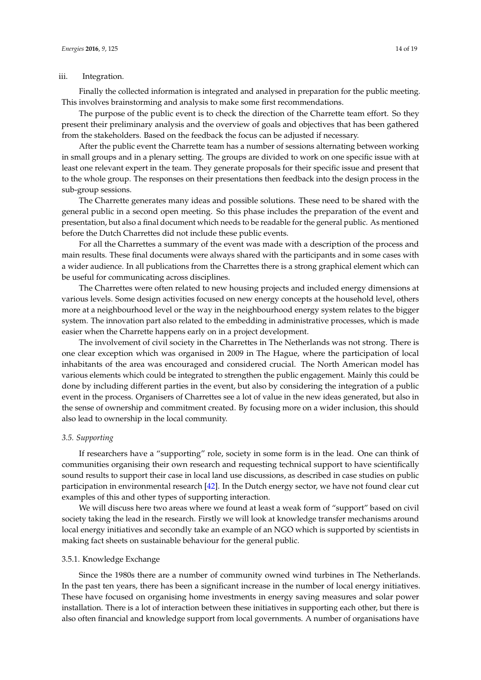#### iii. Integration.

Finally the collected information is integrated and analysed in preparation for the public meeting. This involves brainstorming and analysis to make some first recommendations.

The purpose of the public event is to check the direction of the Charrette team effort. So they present their preliminary analysis and the overview of goals and objectives that has been gathered from the stakeholders. Based on the feedback the focus can be adjusted if necessary.

After the public event the Charrette team has a number of sessions alternating between working in small groups and in a plenary setting. The groups are divided to work on one specific issue with at least one relevant expert in the team. They generate proposals for their specific issue and present that to the whole group. The responses on their presentations then feedback into the design process in the sub-group sessions.

The Charrette generates many ideas and possible solutions. These need to be shared with the general public in a second open meeting. So this phase includes the preparation of the event and presentation, but also a final document which needs to be readable for the general public. As mentioned before the Dutch Charrettes did not include these public events.

For all the Charrettes a summary of the event was made with a description of the process and main results. These final documents were always shared with the participants and in some cases with a wider audience. In all publications from the Charrettes there is a strong graphical element which can be useful for communicating across disciplines.

The Charrettes were often related to new housing projects and included energy dimensions at various levels. Some design activities focused on new energy concepts at the household level, others more at a neighbourhood level or the way in the neighbourhood energy system relates to the bigger system. The innovation part also related to the embedding in administrative processes, which is made easier when the Charrette happens early on in a project development.

The involvement of civil society in the Charrettes in The Netherlands was not strong. There is one clear exception which was organised in 2009 in The Hague, where the participation of local inhabitants of the area was encouraged and considered crucial. The North American model has various elements which could be integrated to strengthen the public engagement. Mainly this could be done by including different parties in the event, but also by considering the integration of a public event in the process. Organisers of Charrettes see a lot of value in the new ideas generated, but also in the sense of ownership and commitment created. By focusing more on a wider inclusion, this should also lead to ownership in the local community.

### *3.5. Supporting*

If researchers have a "supporting" role, society in some form is in the lead. One can think of communities organising their own research and requesting technical support to have scientifically sound results to support their case in local land use discussions, as described in case studies on public participation in environmental research [\[42\]](#page-18-5). In the Dutch energy sector, we have not found clear cut examples of this and other types of supporting interaction.

We will discuss here two areas where we found at least a weak form of "support" based on civil society taking the lead in the research. Firstly we will look at knowledge transfer mechanisms around local energy initiatives and secondly take an example of an NGO which is supported by scientists in making fact sheets on sustainable behaviour for the general public.

#### 3.5.1. Knowledge Exchange

Since the 1980s there are a number of community owned wind turbines in The Netherlands. In the past ten years, there has been a significant increase in the number of local energy initiatives. These have focused on organising home investments in energy saving measures and solar power installation. There is a lot of interaction between these initiatives in supporting each other, but there is also often financial and knowledge support from local governments. A number of organisations have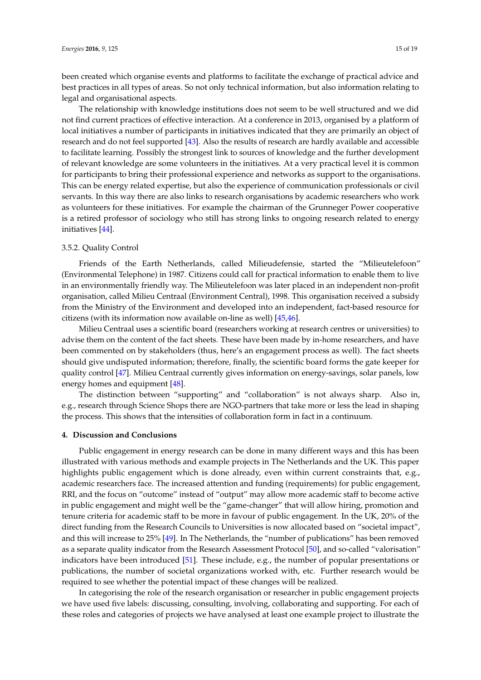been created which organise events and platforms to facilitate the exchange of practical advice and best practices in all types of areas. So not only technical information, but also information relating to legal and organisational aspects.

The relationship with knowledge institutions does not seem to be well structured and we did not find current practices of effective interaction. At a conference in 2013, organised by a platform of local initiatives a number of participants in initiatives indicated that they are primarily an object of research and do not feel supported [\[43\]](#page-18-6). Also the results of research are hardly available and accessible to facilitate learning. Possibly the strongest link to sources of knowledge and the further development of relevant knowledge are some volunteers in the initiatives. At a very practical level it is common for participants to bring their professional experience and networks as support to the organisations. This can be energy related expertise, but also the experience of communication professionals or civil servants. In this way there are also links to research organisations by academic researchers who work as volunteers for these initiatives. For example the chairman of the Grunneger Power cooperative is a retired professor of sociology who still has strong links to ongoing research related to energy initiatives [\[44\]](#page-18-7).

#### 3.5.2. Quality Control

Friends of the Earth Netherlands, called Milieudefensie, started the "Milieutelefoon" (Environmental Telephone) in 1987. Citizens could call for practical information to enable them to live in an environmentally friendly way. The Milieutelefoon was later placed in an independent non-profit organisation, called Milieu Centraal (Environment Central), 1998. This organisation received a subsidy from the Ministry of the Environment and developed into an independent, fact-based resource for citizens (with its information now available on-line as well) [\[45](#page-18-8)[,46\]](#page-18-9).

Milieu Centraal uses a scientific board (researchers working at research centres or universities) to advise them on the content of the fact sheets. These have been made by in-home researchers, and have been commented on by stakeholders (thus, here's an engagement process as well). The fact sheets should give undisputed information; therefore, finally, the scientific board forms the gate keeper for quality control [\[47\]](#page-18-10). Milieu Centraal currently gives information on energy-savings, solar panels, low energy homes and equipment [\[48\]](#page-18-11).

The distinction between "supporting" and "collaboration" is not always sharp. Also in, e.g., research through Science Shops there are NGO-partners that take more or less the lead in shaping the process. This shows that the intensities of collaboration form in fact in a continuum.

#### **4. Discussion and Conclusions**

Public engagement in energy research can be done in many different ways and this has been illustrated with various methods and example projects in The Netherlands and the UK. This paper highlights public engagement which is done already, even within current constraints that, e.g., academic researchers face. The increased attention and funding (requirements) for public engagement, RRI, and the focus on "outcome" instead of "output" may allow more academic staff to become active in public engagement and might well be the "game-changer" that will allow hiring, promotion and tenure criteria for academic staff to be more in favour of public engagement. In the UK, 20% of the direct funding from the Research Councils to Universities is now allocated based on "societal impact", and this will increase to 25% [\[49\]](#page-18-12). In The Netherlands, the "number of publications" has been removed as a separate quality indicator from the Research Assessment Protocol [\[50\]](#page-18-13), and so-called "valorisation" indicators have been introduced [\[51\]](#page-18-14). These include, e.g., the number of popular presentations or publications, the number of societal organizations worked with, etc. Further research would be required to see whether the potential impact of these changes will be realized.

In categorising the role of the research organisation or researcher in public engagement projects we have used five labels: discussing, consulting, involving, collaborating and supporting. For each of these roles and categories of projects we have analysed at least one example project to illustrate the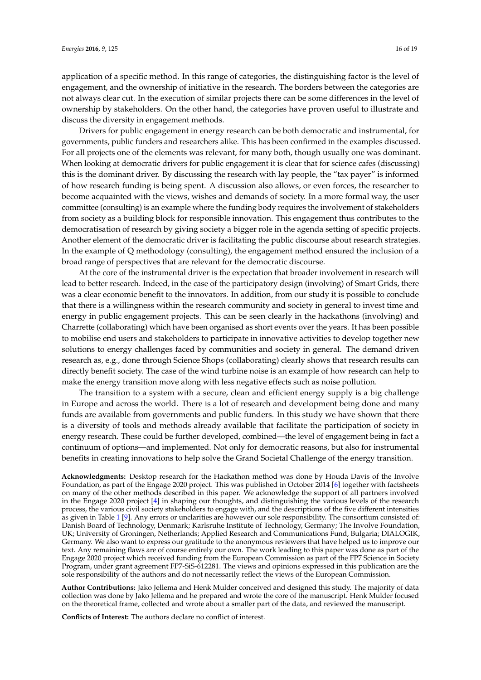application of a specific method. In this range of categories, the distinguishing factor is the level of engagement, and the ownership of initiative in the research. The borders between the categories are not always clear cut. In the execution of similar projects there can be some differences in the level of ownership by stakeholders. On the other hand, the categories have proven useful to illustrate and discuss the diversity in engagement methods.

Drivers for public engagement in energy research can be both democratic and instrumental, for governments, public funders and researchers alike. This has been confirmed in the examples discussed. For all projects one of the elements was relevant, for many both, though usually one was dominant. When looking at democratic drivers for public engagement it is clear that for science cafes (discussing) this is the dominant driver. By discussing the research with lay people, the "tax payer" is informed of how research funding is being spent. A discussion also allows, or even forces, the researcher to become acquainted with the views, wishes and demands of society. In a more formal way, the user committee (consulting) is an example where the funding body requires the involvement of stakeholders from society as a building block for responsible innovation. This engagement thus contributes to the democratisation of research by giving society a bigger role in the agenda setting of specific projects. Another element of the democratic driver is facilitating the public discourse about research strategies. In the example of Q methodology (consulting), the engagement method ensured the inclusion of a broad range of perspectives that are relevant for the democratic discourse.

At the core of the instrumental driver is the expectation that broader involvement in research will lead to better research. Indeed, in the case of the participatory design (involving) of Smart Grids, there was a clear economic benefit to the innovators. In addition, from our study it is possible to conclude that there is a willingness within the research community and society in general to invest time and energy in public engagement projects. This can be seen clearly in the hackathons (involving) and Charrette (collaborating) which have been organised as short events over the years. It has been possible to mobilise end users and stakeholders to participate in innovative activities to develop together new solutions to energy challenges faced by communities and society in general. The demand driven research as, e.g., done through Science Shops (collaborating) clearly shows that research results can directly benefit society. The case of the wind turbine noise is an example of how research can help to make the energy transition move along with less negative effects such as noise pollution.

The transition to a system with a secure, clean and efficient energy supply is a big challenge in Europe and across the world. There is a lot of research and development being done and many funds are available from governments and public funders. In this study we have shown that there is a diversity of tools and methods already available that facilitate the participation of society in energy research. These could be further developed, combined—the level of engagement being in fact a continuum of options—and implemented. Not only for democratic reasons, but also for instrumental benefits in creating innovations to help solve the Grand Societal Challenge of the energy transition.

**Acknowledgments:** Desktop research for the Hackathon method was done by Houda Davis of the Involve Foundation, as part of the Engage 2020 project. This was published in October 2014 [\[6\]](#page-16-5) together with factsheets on many of the other methods described in this paper. We acknowledge the support of all partners involved in the Engage 2020 project [\[4\]](#page-16-3) in shaping our thoughts, and distinguishing the various levels of the research process, the various civil society stakeholders to engage with, and the descriptions of the five different intensities as given in Table [1](#page-4-0) [\[9\]](#page-16-8). Any errors or unclarities are however our sole responsibility. The consortium consisted of: Danish Board of Technology, Denmark; Karlsruhe Institute of Technology, Germany; The Involve Foundation, UK; University of Groningen, Netherlands; Applied Research and Communications Fund, Bulgaria; DIALOGIK, Germany. We also want to express our gratitude to the anonymous reviewers that have helped us to improve our text. Any remaining flaws are of course entirely our own. The work leading to this paper was done as part of the Engage 2020 project which received funding from the European Commission as part of the FP7 Science in Society Program, under grant agreement FP7-SiS-612281. The views and opinions expressed in this publication are the sole responsibility of the authors and do not necessarily reflect the views of the European Commission.

**Author Contributions:** Jako Jellema and Henk Mulder conceived and designed this study. The majority of data collection was done by Jako Jellema and he prepared and wrote the core of the manuscript. Henk Mulder focused on the theoretical frame, collected and wrote about a smaller part of the data, and reviewed the manuscript.

**Conflicts of Interest:** The authors declare no conflict of interest.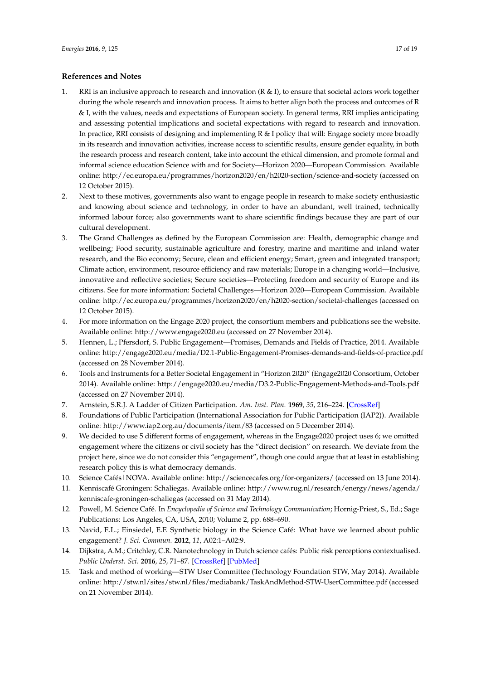# **References and Notes**

- <span id="page-16-0"></span>1. RRI is an inclusive approach to research and innovation (R & I), to ensure that societal actors work together during the whole research and innovation process. It aims to better align both the process and outcomes of R & I, with the values, needs and expectations of European society. In general terms, RRI implies anticipating and assessing potential implications and societal expectations with regard to research and innovation. In practice, RRI consists of designing and implementing R & I policy that will: Engage society more broadly in its research and innovation activities, increase access to scientific results, ensure gender equality, in both the research process and research content, take into account the ethical dimension, and promote formal and informal science education Science with and for Society—Horizon 2020—European Commission. Available online: http://ec.europa.eu/programmes/horizon2020/en/h2020-section/science-and-society (accessed on 12 October 2015).
- <span id="page-16-1"></span>2. Next to these motives, governments also want to engage people in research to make society enthusiastic and knowing about science and technology, in order to have an abundant, well trained, technically informed labour force; also governments want to share scientific findings because they are part of our cultural development.
- <span id="page-16-2"></span>3. The Grand Challenges as defined by the European Commission are: Health, demographic change and wellbeing; Food security, sustainable agriculture and forestry, marine and maritime and inland water research, and the Bio economy; Secure, clean and efficient energy; Smart, green and integrated transport; Climate action, environment, resource efficiency and raw materials; Europe in a changing world—Inclusive, innovative and reflective societies; Secure societies—Protecting freedom and security of Europe and its citizens. See for more information: Societal Challenges—Horizon 2020—European Commission. Available online: http://ec.europa.eu/programmes/horizon2020/en/h2020-section/societal-challenges (accessed on 12 October 2015).
- <span id="page-16-3"></span>4. For more information on the Engage 2020 project, the consortium members and publications see the website. Available online: http://www.engage2020.eu (accessed on 27 November 2014).
- <span id="page-16-4"></span>5. Hennen, L.; Pfersdorf, S. Public Engagement—Promises, Demands and Fields of Practice, 2014. Available online: http://engage2020.eu/media/D2.1-Public-Engagement-Promises-demands-and-fields-of-practice.pdf (accessed on 28 November 2014).
- <span id="page-16-5"></span>6. Tools and Instruments for a Better Societal Engagement in "Horizon 2020" (Engage2020 Consortium, October 2014). Available online: http://engage2020.eu/media/D3.2-Public-Engagement-Methods-and-Tools.pdf (accessed on 27 November 2014).
- <span id="page-16-6"></span>7. Arnstein, S.R.J. A Ladder of Citizen Participation. *Am. Inst. Plan.* **1969**, *35*, 216–224. [\[CrossRef\]](http://dx.doi.org/10.1080/01944366908977225)
- <span id="page-16-7"></span>8. Foundations of Public Participation (International Association for Public Participation (IAP2)). Available online: http://www.iap2.org.au/documents/item/83 (accessed on 5 December 2014).
- <span id="page-16-8"></span>9. We decided to use 5 different forms of engagement, whereas in the Engage2020 project uses 6; we omitted engagement where the citizens or civil society has the "direct decision" on research. We deviate from the project here, since we do not consider this "engagement", though one could argue that at least in establishing research policy this is what democracy demands.
- <span id="page-16-9"></span>10. Science Cafés|NOVA. Available online: http://sciencecafes.org/for-organizers/ (accessed on 13 June 2014).
- <span id="page-16-10"></span>11. Kenniscafé Groningen: Schaliegas. Available online: http://www.rug.nl/research/energy/news/agenda/ kenniscafe-groningen-schaliegas (accessed on 31 May 2014).
- <span id="page-16-11"></span>12. Powell, M. Science Café. In *Encyclopedia of Science and Technology Communication*; Hornig-Priest, S., Ed.; Sage Publications: Los Angeles, CA, USA, 2010; Volume 2, pp. 688–690.
- <span id="page-16-12"></span>13. Navid, E.L.; Einsiedel, E.F. Synthetic biology in the Science Café: What have we learned about public engagement? *J. Sci. Commun.* **2012**, *11*, A02:1–A02:9.
- <span id="page-16-13"></span>14. Dijkstra, A.M.; Critchley, C.R. Nanotechnology in Dutch science cafés: Public risk perceptions contextualised. *Public Underst. Sci.* **2016**, *25*, 71–87. [\[CrossRef\]](http://dx.doi.org/10.1177/0963662514528080) [\[PubMed\]](http://www.ncbi.nlm.nih.gov/pubmed/24812210)
- <span id="page-16-14"></span>15. Task and method of working—STW User Committee (Technology Foundation STW, May 2014). Available online: http://stw.nl/sites/stw.nl/files/mediabank/TaskAndMethod-STW-UserCommittee.pdf (accessed on 21 November 2014).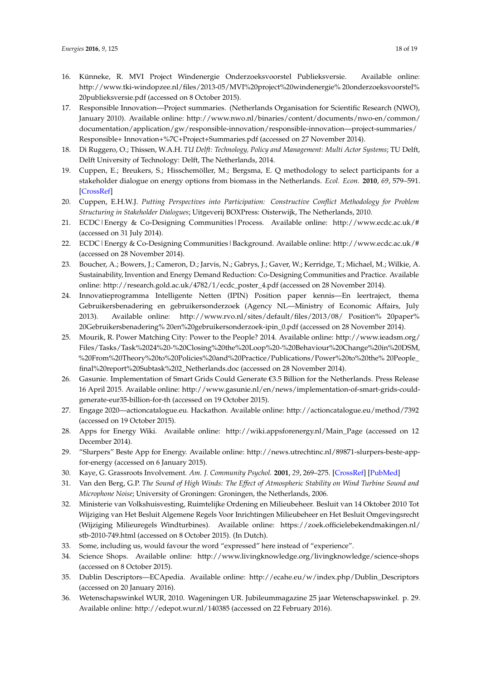- <span id="page-17-0"></span>16. Künneke, R. MVI Project Windenergie Onderzoeksvoorstel Publieksversie. Available online: http://www.tki-windopzee.nl/files/2013-05/MVI%20project%20windenergie% 20onderzoeksvoorstel% 20publieksversie.pdf (accessed on 8 October 2015).
- <span id="page-17-1"></span>17. Responsible Innovation—Project summaries. (Netherlands Organisation for Scientific Research (NWO), January 2010). Available online: http://www.nwo.nl/binaries/content/documents/nwo-en/common/ documentation/application/gw/responsible-innovation/responsible-innovation—project-summaries/ Responsible+ Innovation+%7C+Project+Summaries.pdf (accessed on 27 November 2014).
- <span id="page-17-2"></span>18. Di Ruggero, O.; Thissen, W.A.H. *TU Delft: Technology, Policy and Management: Multi Actor Systems*; TU Delft, Delft University of Technology: Delft, The Netherlands, 2014.
- <span id="page-17-3"></span>19. Cuppen, E.; Breukers, S.; Hisschemöller, M.; Bergsma, E. Q methodology to select participants for a stakeholder dialogue on energy options from biomass in the Netherlands. *Ecol. Econ.* **2010**, *69*, 579–591. [\[CrossRef\]](http://dx.doi.org/10.1016/j.ecolecon.2009.09.005)
- <span id="page-17-4"></span>20. Cuppen, E.H.W.J. *Putting Perspectives into Participation: Constructive Conflict Methodology for Problem Structuring in Stakeholder Dialogues*; Uitgeverij BOXPress: Oisterwijk, The Netherlands, 2010.
- <span id="page-17-5"></span>21. ECDC|Energy & Co-Designing Communities|Process. Available online: http://www.ecdc.ac.uk/# (accessed on 31 July 2014).
- <span id="page-17-6"></span>22. ECDC|Energy & Co-Designing Communities|Background. Available online: http://www.ecdc.ac.uk/# (accessed on 28 November 2014).
- <span id="page-17-7"></span>23. Boucher, A.; Bowers, J.; Cameron, D.; Jarvis, N.; Gabrys, J.; Gaver, W.; Kerridge, T.; Michael, M.; Wilkie, A. Sustainability, Invention and Energy Demand Reduction: Co-Designing Communities and Practice. Available online: http://research.gold.ac.uk/4782/1/ecdc\_poster\_4.pdf (accessed on 28 November 2014).
- <span id="page-17-8"></span>24. Innovatieprogramma Intelligente Netten (IPIN) Position paper kennis—En leertraject, thema Gebruikersbenadering en gebruikersonderzoek (Agency NL—Ministry of Economic Affairs, July 2013). Available online: http://www.rvo.nl/sites/default/files/2013/08/ Position% 20paper% 20Gebruikersbenadering% 20en%20gebruikersonderzoek-ipin\_0.pdf (accessed on 28 November 2014).
- <span id="page-17-9"></span>25. Mourik, R. Power Matching City: Power to the People? 2014. Available online: http://www.ieadsm.org/ Files/Tasks/Task%2024%20-%20Closing%20the%20Loop%20-%20Behaviour%20Change%20in%20DSM, %20From%20Theory%20to%20Policies%20and%20Practice/Publications/Power%20to%20the% 20People\_ final%20report%20Subtask%202\_Netherlands.doc (accessed on 28 November 2014).
- <span id="page-17-10"></span>26. Gasunie. Implementation of Smart Grids Could Generate €3.5 Billion for the Netherlands. Press Release 16 April 2015. Available online: http://www.gasunie.nl/en/news/implementation-of-smart-grids-couldgenerate-eur35-billion-for-th (accessed on 19 October 2015).
- <span id="page-17-11"></span>27. Engage 2020—actioncatalogue.eu. Hackathon. Available online: http://actioncatalogue.eu/method/7392 (accessed on 19 October 2015).
- <span id="page-17-12"></span>28. Apps for Energy Wiki. Available online: http://wiki.appsforenergy.nl/Main\_Page (accessed on 12 December 2014).
- <span id="page-17-13"></span>29. "Slurpers" Beste App for Energy. Available online: http://news.utrechtinc.nl/89871-slurpers-beste-appfor-energy (accessed on 6 January 2015).
- <span id="page-17-14"></span>30. Kaye, G. Grassroots Involvement. *Am. J. Community Psychol.* **2001**, *29*, 269–275. [\[CrossRef\]](http://dx.doi.org/10.1023/A:1010382714491) [\[PubMed\]](http://www.ncbi.nlm.nih.gov/pubmed/11446281)
- <span id="page-17-15"></span>31. Van den Berg, G.P. *The Sound of High Winds: The Effect of Atmospheric Stability on Wind Turbine Sound and Microphone Noise*; University of Groningen: Groningen, the Netherlands, 2006.
- <span id="page-17-16"></span>32. Ministerie van Volkshuisvesting, Ruimtelijke Ordening en Milieubeheer. Besluit van 14 Oktober 2010 Tot Wijziging van Het Besluit Algemene Regels Voor Inrichtingen Milieubeheer en Het Besluit Omgevingsrecht (Wijziging Milieuregels Windturbines). Available online: https://zoek.officielebekendmakingen.nl/ stb-2010-749.html (accessed on 8 October 2015). (In Dutch).
- <span id="page-17-17"></span>33. Some, including us, would favour the word "expressed" here instead of "experience".
- <span id="page-17-18"></span>34. Science Shops. Available online: http://www.livingknowledge.org/livingknowledge/science-shops (accessed on 8 October 2015).
- <span id="page-17-19"></span>35. Dublin Descriptors—ECApedia. Available online: http://ecahe.eu/w/index.php/Dublin\_Descriptors (accessed on 20 January 2016).
- <span id="page-17-20"></span>36. Wetenschapswinkel WUR, 2010. Wageningen UR. Jubileummagazine 25 jaar Wetenschapswinkel. p. 29. Available online: http://edepot.wur.nl/140385 (accessed on 22 February 2016).